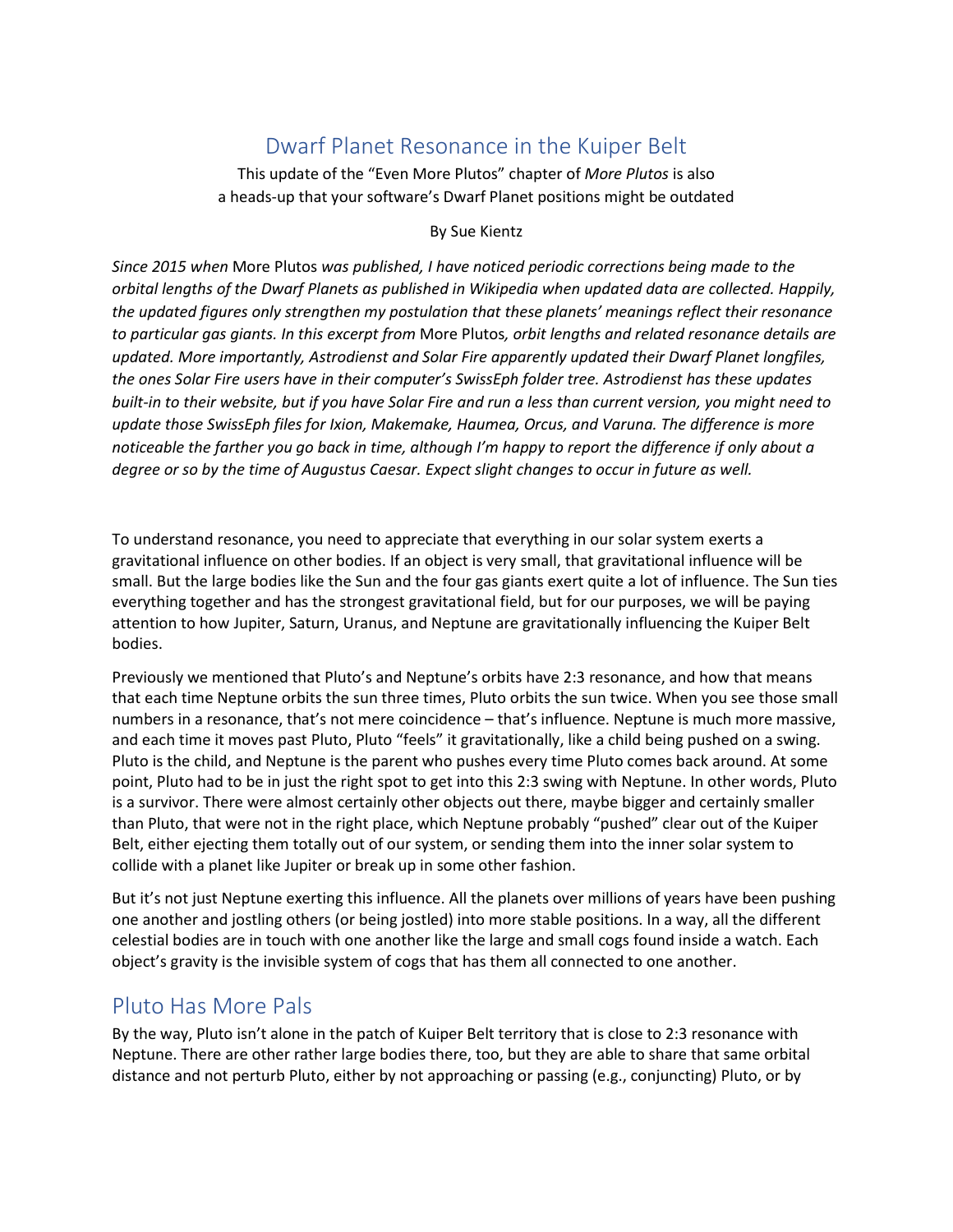## Dwarf Planet Resonance in the Kuiper Belt

This update of the "Even More Plutos" chapter of *More Plutos* is also a heads-up that your software's Dwarf Planet positions might be outdated

## By Sue Kientz

*Since 2015 when* More Plutos *was published, I have noticed periodic corrections being made to the orbital lengths of the Dwarf Planets as published in Wikipedia when updated data are collected. Happily, the updated figures only strengthen my postulation that these planets' meanings reflect their resonance to particular gas giants. In this excerpt from* More Plutos*, orbit lengths and related resonance details are updated. More importantly, Astrodienst and Solar Fire apparently updated their Dwarf Planet longfiles, the ones Solar Fire users have in their computer's SwissEph folder tree. Astrodienst has these updates built-in to their website, but if you have Solar Fire and run a less than current version, you might need to update those SwissEph files for Ixion, Makemake, Haumea, Orcus, and Varuna. The difference is more noticeable the farther you go back in time, although I'm happy to report the difference if only about a degree or so by the time of Augustus Caesar. Expect slight changes to occur in future as well.*

To understand resonance, you need to appreciate that everything in our solar system exerts a gravitational influence on other bodies. If an object is very small, that gravitational influence will be small. But the large bodies like the Sun and the four gas giants exert quite a lot of influence. The Sun ties everything together and has the strongest gravitational field, but for our purposes, we will be paying attention to how Jupiter, Saturn, Uranus, and Neptune are gravitationally influencing the Kuiper Belt bodies.

Previously we mentioned that Pluto's and Neptune's orbits have 2:3 resonance, and how that means that each time Neptune orbits the sun three times, Pluto orbits the sun twice. When you see those small numbers in a resonance, that's not mere coincidence – that's influence. Neptune is much more massive, and each time it moves past Pluto, Pluto "feels" it gravitationally, like a child being pushed on a swing. Pluto is the child, and Neptune is the parent who pushes every time Pluto comes back around. At some point, Pluto had to be in just the right spot to get into this 2:3 swing with Neptune. In other words, Pluto is a survivor. There were almost certainly other objects out there, maybe bigger and certainly smaller than Pluto, that were not in the right place, which Neptune probably "pushed" clear out of the Kuiper Belt, either ejecting them totally out of our system, or sending them into the inner solar system to collide with a planet like Jupiter or break up in some other fashion.

But it's not just Neptune exerting this influence. All the planets over millions of years have been pushing one another and jostling others (or being jostled) into more stable positions. In a way, all the different celestial bodies are in touch with one another like the large and small cogs found inside a watch. Each object's gravity is the invisible system of cogs that has them all connected to one another.

## Pluto Has More Pals

By the way, Pluto isn't alone in the patch of Kuiper Belt territory that is close to 2:3 resonance with Neptune. There are other rather large bodies there, too, but they are able to share that same orbital distance and not perturb Pluto, either by not approaching or passing (e.g., conjuncting) Pluto, or by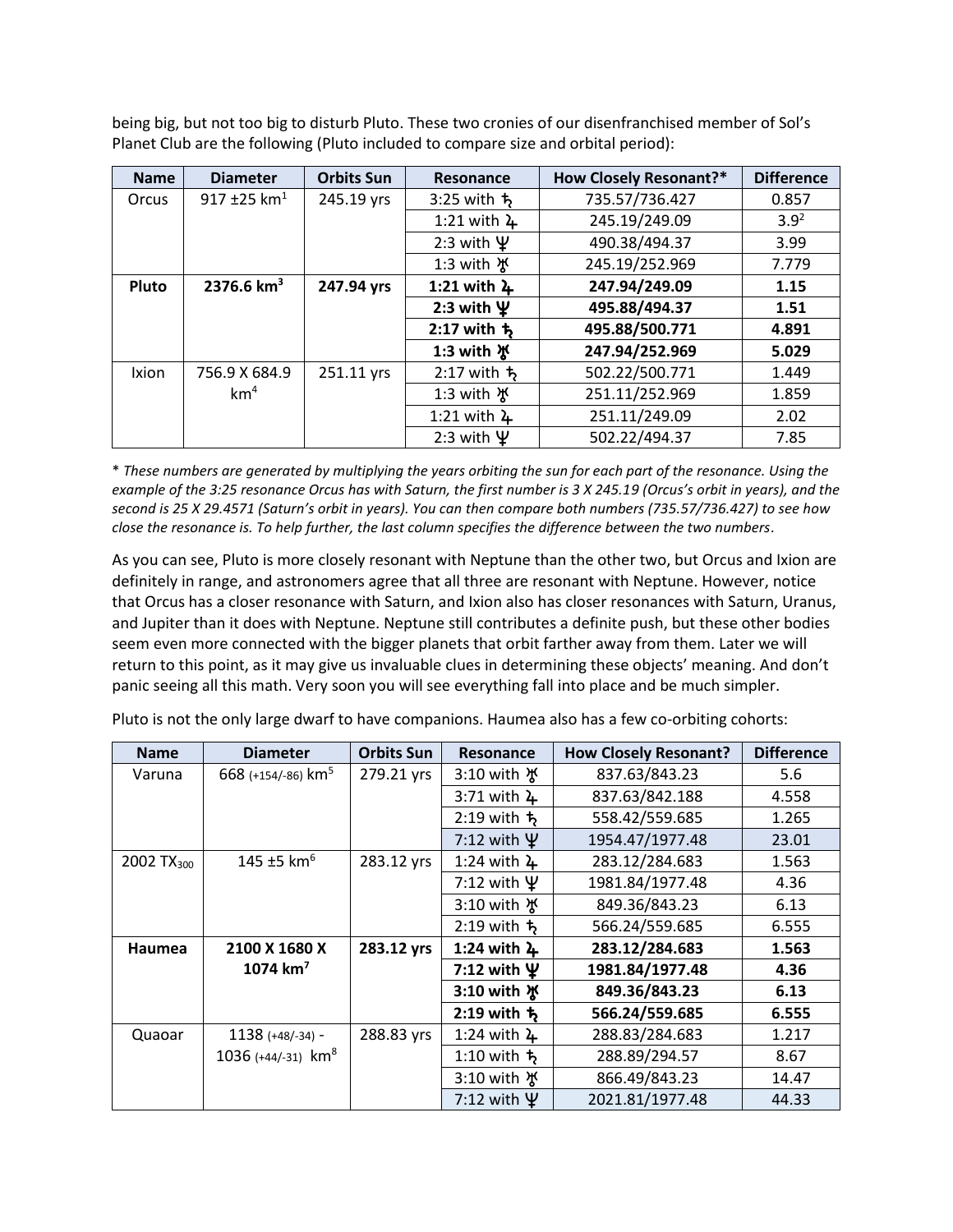being big, but not too big to disturb Pluto. These two cronies of our disenfranchised member of Sol's Planet Club are the following (Pluto included to compare size and orbital period):

| <b>Name</b> | <b>Diameter</b> | <b>Orbits Sun</b> | Resonance                 | <b>How Closely Resonant?*</b> | <b>Difference</b> |
|-------------|-----------------|-------------------|---------------------------|-------------------------------|-------------------|
| Orcus       | 917 ±25 $km1$   | 245.19 yrs        | 3:25 with ち               | 735.57/736.427                | 0.857             |
|             |                 |                   | 1:21 with $\frac{1}{4}$   | 245.19/249.09                 | $3.9^{2}$         |
|             |                 |                   | 2:3 with $\Psi$           | 490.38/494.37                 | 3.99              |
|             |                 |                   | 1:3 with ¥                | 245.19/252.969                | 7.779             |
| Pluto       | 2376.6 $km^3$   | 247.94 yrs        | 1:21 with $\frac{1}{4}$   | 247.94/249.09                 | 1.15              |
|             |                 |                   | 2:3 with $\Psi$           | 495.88/494.37                 | 1.51              |
|             |                 |                   | $2:17$ with $\frac{1}{2}$ | 495.88/500.771                | 4.891             |
|             |                 |                   | 1:3 with ※                | 247.94/252.969                | 5.029             |
| Ixion       | 756.9 X 684.9   | 251.11 yrs        | $2:17$ with $\frac{1}{2}$ | 502.22/500.771                | 1.449             |
|             | km <sup>4</sup> |                   | 1:3 with $\frac{1}{2}$    | 251.11/252.969                | 1.859             |
|             |                 |                   | 1:21 with $\frac{1}{4}$   | 251.11/249.09                 | 2.02              |
|             |                 |                   | 2:3 with $\Psi$           | 502.22/494.37                 | 7.85              |

\* *These numbers are generated by multiplying the years orbiting the sun for each part of the resonance. Using the example of the 3:25 resonance Orcus has with Saturn, the first number is 3 X 245.19 (Orcus's orbit in years), and the second is 25 X 29.4571 (Saturn's orbit in years). You can then compare both numbers (735.57/736.427) to see how close the resonance is. To help further, the last column specifies the difference between the two numbers.*

As you can see, Pluto is more closely resonant with Neptune than the other two, but Orcus and Ixion are definitely in range, and astronomers agree that all three are resonant with Neptune. However, notice that Orcus has a closer resonance with Saturn, and Ixion also has closer resonances with Saturn, Uranus, and Jupiter than it does with Neptune. Neptune still contributes a definite push, but these other bodies seem even more connected with the bigger planets that orbit farther away from them. Later we will return to this point, as it may give us invaluable clues in determining these objects' meaning. And don't panic seeing all this math. Very soon you will see everything fall into place and be much simpler.

| <b>Name</b>            | <b>Diameter</b>                  | <b>Orbits Sun</b> | <b>Resonance</b>        | <b>How Closely Resonant?</b> | <b>Difference</b> |
|------------------------|----------------------------------|-------------------|-------------------------|------------------------------|-------------------|
| Varuna                 | 668 (+154/-86) km <sup>5</sup>   | 279.21 yrs        | 3:10 with ង្            | 837.63/843.23                | 5.6               |
|                        |                                  |                   | $3:71$ with $4$         | 837.63/842.188               | 4.558             |
|                        |                                  |                   | 2:19 with $t_5$         | 558.42/559.685               | 1.265             |
|                        |                                  |                   | 7:12 with $\Psi$        | 1954.47/1977.48              | 23.01             |
| 2002 TX <sub>300</sub> | 145 ±5 $km^6$                    | 283.12 yrs        | 1:24 with $\lambda$     | 283.12/284.683               | 1.563             |
|                        |                                  |                   | 7:12 with $\Psi$        | 1981.84/1977.48              | 4.36              |
|                        |                                  |                   | 3:10 with ង្            | 849.36/843.23                | 6.13              |
|                        |                                  |                   | $2:19$ with $t_2$       | 566.24/559.685               | 6.555             |
| <b>Haumea</b>          | 2100 X 1680 X                    | 283.12 yrs        | 1:24 with $\lambda$     | 283.12/284.683               | 1.563             |
|                        | 1074 $km^7$                      |                   | 7:12 with $\Psi$        | 1981.84/1977.48              | 4.36              |
|                        |                                  |                   | 3:10 with ※             | 849.36/843.23                | 6.13              |
|                        |                                  |                   | $2:19$ with $\uparrow$  | 566.24/559.685               | 6.555             |
| Quaoar                 | $1138 (+48/-34) -$               | 288.83 yrs        | 1:24 with $\frac{1}{4}$ | 288.83/284.683               | 1.217             |
|                        | 1036 $(+44/-31)$ km <sup>8</sup> |                   | 1:10 with $t_5$         | 288.89/294.57                | 8.67              |
|                        |                                  |                   | 3:10 with ង្            | 866.49/843.23                | 14.47             |
|                        |                                  |                   | 7:12 with $\Psi$        | 2021.81/1977.48              | 44.33             |

Pluto is not the only large dwarf to have companions. Haumea also has a few co-orbiting cohorts: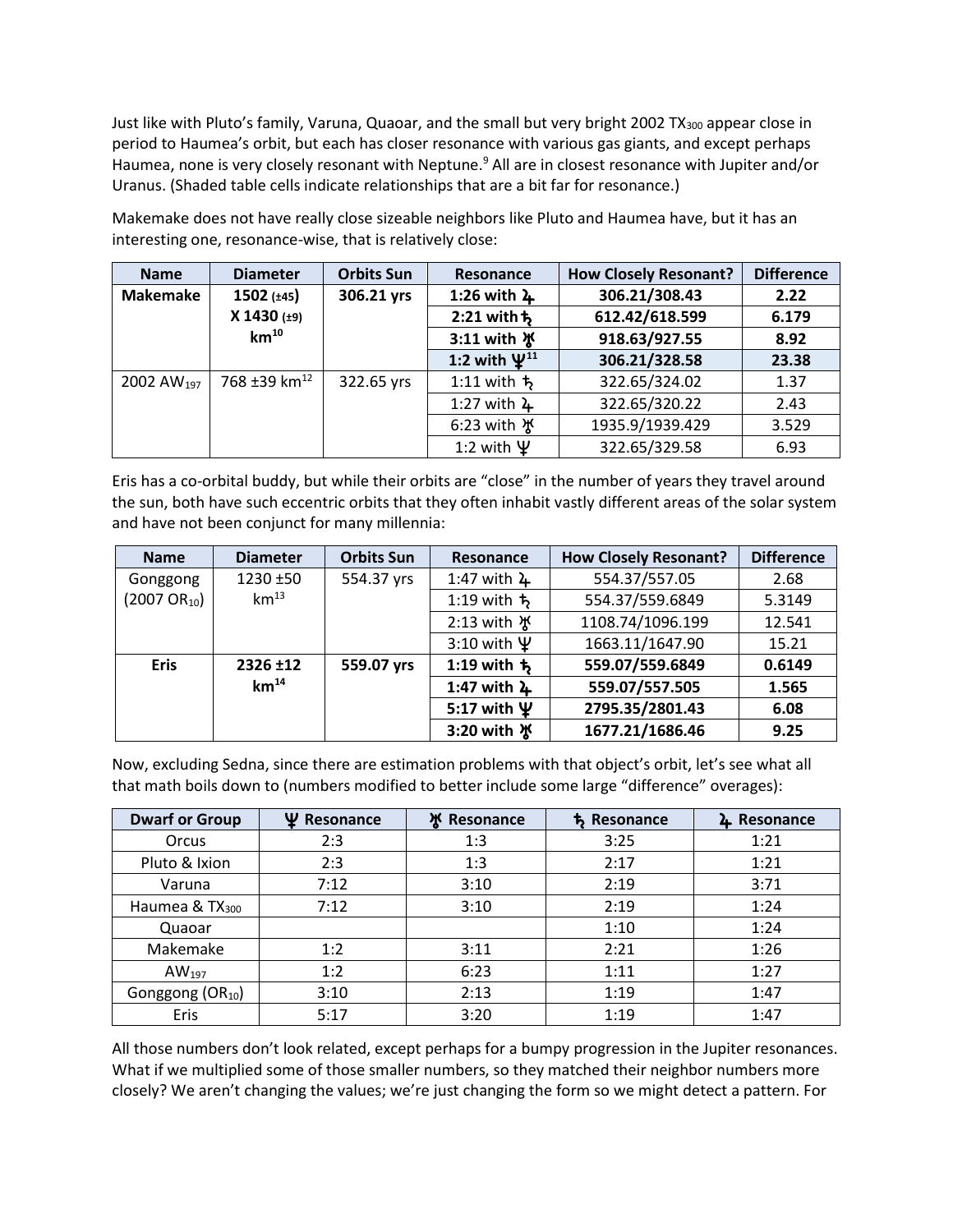Just like with Pluto's family, Varuna, Quaoar, and the small but very bright 2002 TX300 appear close in period to Haumea's orbit, but each has closer resonance with various gas giants, and except perhaps Haumea, none is very closely resonant with Neptune.<sup>9</sup> All are in closest resonance with Jupiter and/or Uranus. (Shaded table cells indicate relationships that are a bit far for resonance.)

**Name Diameter Orbits Sun Resonance How Closely Resonant? Difference Makemake 1502 (±45) X 1430 (±9) km<sup>10</sup> 306.21 yrs 1:26 with** ½ **306.21/308.43 2.22 2:21 with**¾ **612.42/618.599 6.179 3:11 with** ¿ **918.63/927.55 8.92 1:2 with** À**<sup>11</sup> 306.21/328.58 23.38** 2002 AW<sub>197</sub> | 768 ±39 km<sup>12</sup> | 322.65 yrs | 1:11 with  $\frac{1}{2}$  | 322.65/324.02 | 1.37 1:27 with  $\frac{1}{2}$  | 322.65/320.22 | 2.43 6:23 with  $\frac{1}{2}$  | 1935.9/1939.429 | 3.529 1:2 with  $\Psi$  | 322.65/329.58 | 6.93

Makemake does not have really close sizeable neighbors like Pluto and Haumea have, but it has an interesting one, resonance-wise, that is relatively close:

Eris has a co-orbital buddy, but while their orbits are "close" in the number of years they travel around the sun, both have such eccentric orbits that they often inhabit vastly different areas of the solar system and have not been conjunct for many millennia:

| <b>Name</b>              | <b>Diameter</b>  | <b>Orbits Sun</b> | Resonance                                  | <b>How Closely Resonant?</b> | <b>Difference</b> |
|--------------------------|------------------|-------------------|--------------------------------------------|------------------------------|-------------------|
| Gonggong                 | 1230 ±50         | 554.37 yrs        | 1:47 with $4$                              | 554.37/557.05                | 2.68              |
| $(2007 \text{ OR}_{10})$ | $km^{13}$        |                   | 554.37/559.6849<br>1:19 with $\frac{1}{2}$ |                              | 5.3149            |
|                          |                  |                   | 2:13 with 水                                | 1108.74/1096.199             | 12.541            |
|                          |                  |                   | 3:10 with $\Psi$                           | 1663.11/1647.90              | 15.21             |
| <b>Eris</b>              | 2326 ±12         | 559.07 yrs        | 1:19 with $\frac{1}{2}$                    | 559.07/559.6849              | 0.6149            |
|                          | km <sup>14</sup> |                   | 1:47 with $\lambda$                        | 559.07/557.505               | 1.565             |
|                          |                  |                   | 5:17 with $\Psi$                           | 2795.35/2801.43              | 6.08              |
|                          |                  |                   | 3:20 with ※                                | 1677.21/1686.46              | 9.25              |

Now, excluding Sedna, since there are estimation problems with that object's orbit, let's see what all that math boils down to (numbers modified to better include some large "difference" overages):

| <b>Dwarf or Group</b>        | Ψ<br>Resonance | ዧ<br>Resonance | <b>5</b> Resonance | L Resonance |
|------------------------------|----------------|----------------|--------------------|-------------|
| Orcus                        | 2:3            | 1:3            | 3:25               | 1:21        |
| Pluto & Ixion                | 2:3            | 1:3            | 2:17               | 1:21        |
| Varuna                       | 7:12           | 3:10           | 2:19               | 3:71        |
| Haumea $& \mathsf{TX}_{300}$ | 7:12           | 3:10           | 2:19               | 1:24        |
| Quaoar                       |                |                | 1:10               | 1:24        |
| Makemake                     | 1:2            | 3:11           | 2:21               | 1:26        |
| $AW_{197}$                   | 1:2            | 6:23           | 1:11               | 1:27        |
| Gonggong (OR <sub>10</sub> ) | 3:10           | 2:13           | 1:19               | 1:47        |
| Eris                         | 5:17           | 3:20           | 1:19               | 1:47        |

All those numbers don't look related, except perhaps for a bumpy progression in the Jupiter resonances. What if we multiplied some of those smaller numbers, so they matched their neighbor numbers more closely? We aren't changing the values; we're just changing the form so we might detect a pattern. For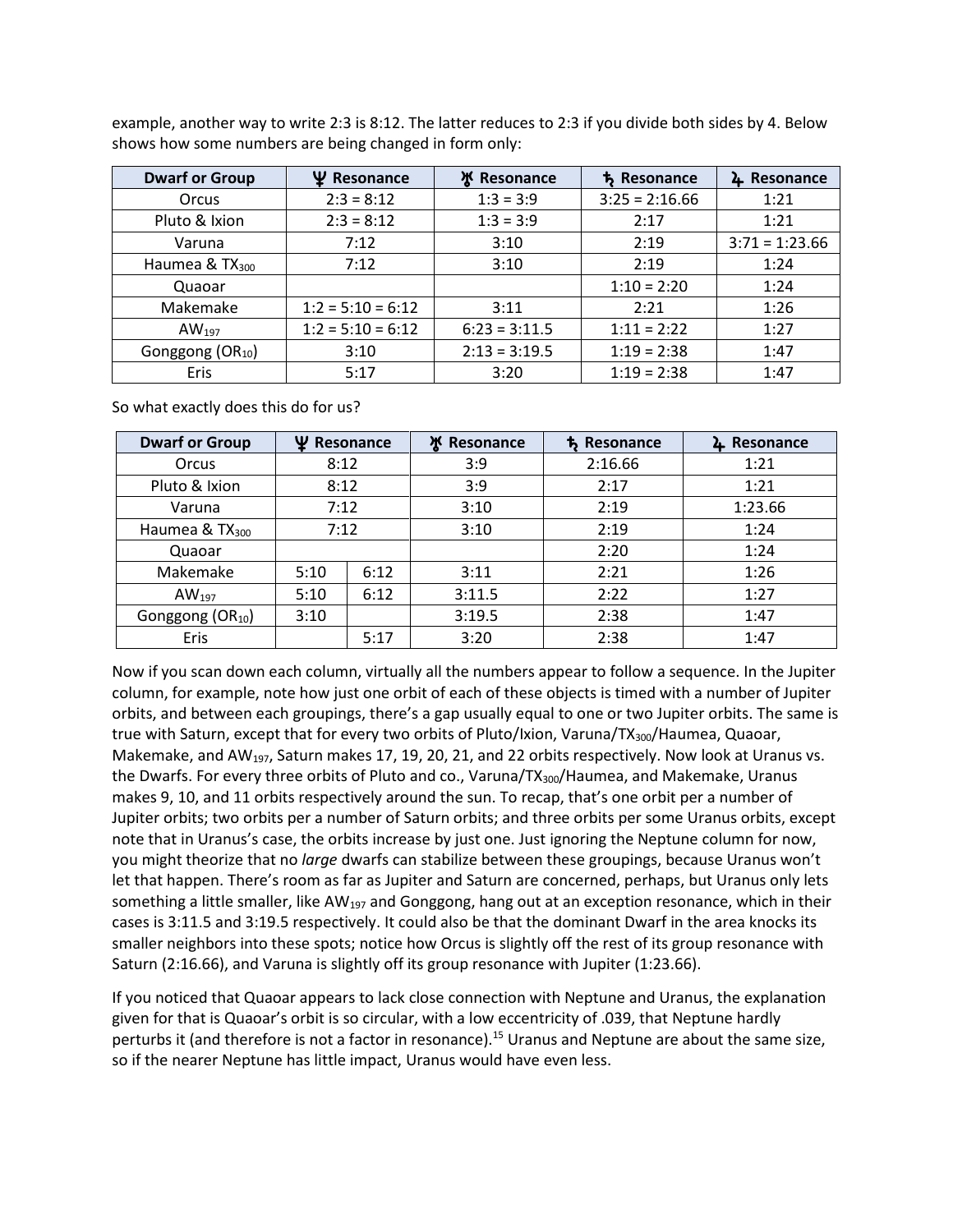example, another way to write 2:3 is 8:12. The latter reduces to 2:3 if you divide both sides by 4. Below shows how some numbers are being changed in form only:

| <b>Dwarf or Group</b>        | Ψ<br>Resonance      | <b>Ж</b> Resonance | <b>ち Resonance</b> | Resonance<br>4   |
|------------------------------|---------------------|--------------------|--------------------|------------------|
| Orcus                        | $2:3 = 8:12$        | $1:3 = 3:9$        | $3:25 = 2:16.66$   | 1:21             |
| Pluto & Ixion                | $2:3 = 8:12$        | $1:3 = 3:9$        | 2:17               | 1:21             |
| Varuna                       | 7:12                | 3:10               | 2:19               | $3:71 = 1:23.66$ |
| Haumea & TX <sub>300</sub>   | 7:12                | 3:10               | 2:19               | 1:24             |
| Quaoar                       |                     |                    | $1:10 = 2:20$      | 1:24             |
| Makemake                     | $1:2 = 5:10 = 6:12$ | 3:11               | 2:21               | 1:26             |
| $AW_{197}$                   | $1:2 = 5:10 = 6:12$ | $6:23 = 3:11.5$    | $1:11 = 2:22$      | 1:27             |
| Gonggong (OR <sub>10</sub> ) | 3:10                | $2:13 = 3:19.5$    | $1:19 = 2:38$      | 1:47             |
| Eris                         | 5:17                | 3:20               | $1:19 = 2:38$      | 1:47             |

So what exactly does this do for us?

| <b>Dwarf or Group</b>                | Ψ<br>Resonance |      | ж<br>Resonance | <b>ち Resonance</b> | 4 Resonance |
|--------------------------------------|----------------|------|----------------|--------------------|-------------|
| Orcus                                | 8:12           |      | 3:9            | 2:16.66            | 1:21        |
| Pluto & Ixion                        | 8:12           |      | 3:9            | 2:17               | 1:21        |
| Varuna                               | 7:12           |      | 3:10           | 2:19               | 1:23.66     |
| Haumea & TX <sub>300</sub>           | 7:12           |      | 3:10           | 2:19               | 1:24        |
| Quaoar                               |                |      |                | 2:20               | 1:24        |
| Makemake                             | 5:10           | 6:12 | 3:11           | 2:21               | 1:26        |
| $AW_{197}$                           | 5:10           | 6:12 | 3:11.5         | 2:22               | 1:27        |
| Gonggong (OR <sub>10</sub> )<br>3:10 |                |      | 3:19.5         | 2:38               | 1:47        |
| Eris                                 |                | 5:17 | 3:20           | 2:38               | 1:47        |

Now if you scan down each column, virtually all the numbers appear to follow a sequence. In the Jupiter column, for example, note how just one orbit of each of these objects is timed with a number of Jupiter orbits, and between each groupings, there's a gap usually equal to one or two Jupiter orbits. The same is true with Saturn, except that for every two orbits of Pluto/Ixion, Varuna/TX<sub>300</sub>/Haumea, Quaoar, Makemake, and AW<sub>197</sub>, Saturn makes 17, 19, 20, 21, and 22 orbits respectively. Now look at Uranus vs. the Dwarfs. For every three orbits of Pluto and co., Varuna/TX<sub>300</sub>/Haumea, and Makemake, Uranus makes 9, 10, and 11 orbits respectively around the sun. To recap, that's one orbit per a number of Jupiter orbits; two orbits per a number of Saturn orbits; and three orbits per some Uranus orbits, except note that in Uranus's case, the orbits increase by just one. Just ignoring the Neptune column for now, you might theorize that no *large* dwarfs can stabilize between these groupings, because Uranus won't let that happen. There's room as far as Jupiter and Saturn are concerned, perhaps, but Uranus only lets something a little smaller, like  $AW_{197}$  and Gonggong, hang out at an exception resonance, which in their cases is 3:11.5 and 3:19.5 respectively. It could also be that the dominant Dwarf in the area knocks its smaller neighbors into these spots; notice how Orcus is slightly off the rest of its group resonance with Saturn (2:16.66), and Varuna is slightly off its group resonance with Jupiter (1:23.66).

If you noticed that Quaoar appears to lack close connection with Neptune and Uranus, the explanation given for that is Quaoar's orbit is so circular, with a low eccentricity of .039, that Neptune hardly perturbs it (and therefore is not a factor in resonance).<sup>15</sup> Uranus and Neptune are about the same size, so if the nearer Neptune has little impact, Uranus would have even less.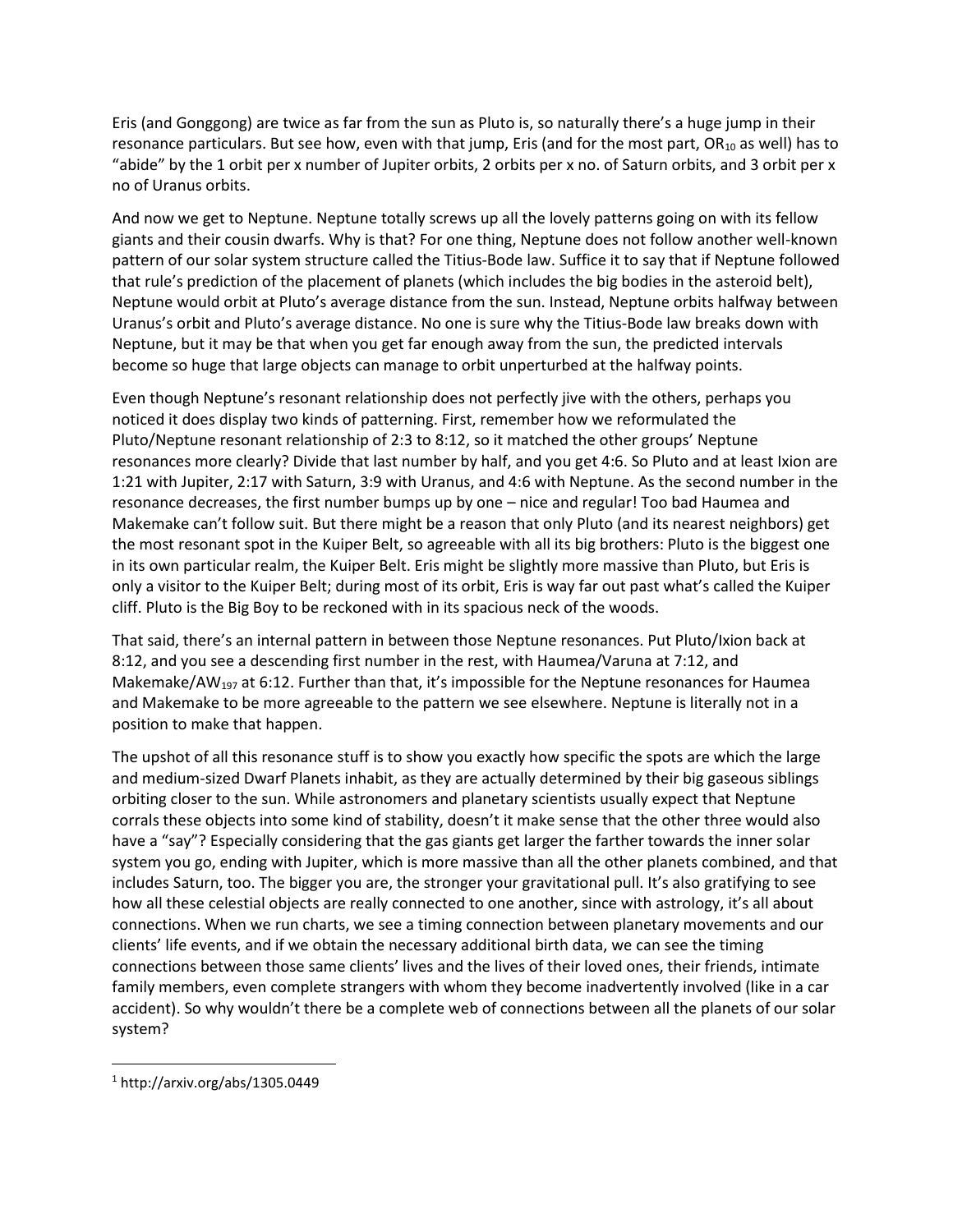Eris (and Gonggong) are twice as far from the sun as Pluto is, so naturally there's a huge jump in their resonance particulars. But see how, even with that jump, Eris (and for the most part, OR<sub>10</sub> as well) has to "abide" by the 1 orbit per x number of Jupiter orbits, 2 orbits per x no. of Saturn orbits, and 3 orbit per x no of Uranus orbits.

And now we get to Neptune. Neptune totally screws up all the lovely patterns going on with its fellow giants and their cousin dwarfs. Why is that? For one thing, Neptune does not follow another well-known pattern of our solar system structure called the Titius-Bode law. Suffice it to say that if Neptune followed that rule's prediction of the placement of planets (which includes the big bodies in the asteroid belt), Neptune would orbit at Pluto's average distance from the sun. Instead, Neptune orbits halfway between Uranus's orbit and Pluto's average distance. No one is sure why the Titius-Bode law breaks down with Neptune, but it may be that when you get far enough away from the sun, the predicted intervals become so huge that large objects can manage to orbit unperturbed at the halfway points.

Even though Neptune's resonant relationship does not perfectly jive with the others, perhaps you noticed it does display two kinds of patterning. First, remember how we reformulated the Pluto/Neptune resonant relationship of 2:3 to 8:12, so it matched the other groups' Neptune resonances more clearly? Divide that last number by half, and you get 4:6. So Pluto and at least Ixion are 1:21 with Jupiter, 2:17 with Saturn, 3:9 with Uranus, and 4:6 with Neptune. As the second number in the resonance decreases, the first number bumps up by one – nice and regular! Too bad Haumea and Makemake can't follow suit. But there might be a reason that only Pluto (and its nearest neighbors) get the most resonant spot in the Kuiper Belt, so agreeable with all its big brothers: Pluto is the biggest one in its own particular realm, the Kuiper Belt. Eris might be slightly more massive than Pluto, but Eris is only a visitor to the Kuiper Belt; during most of its orbit, Eris is way far out past what's called the Kuiper cliff. Pluto is the Big Boy to be reckoned with in its spacious neck of the woods.

That said, there's an internal pattern in between those Neptune resonances. Put Pluto/Ixion back at 8:12, and you see a descending first number in the rest, with Haumea/Varuna at 7:12, and Makemake/AW<sub>197</sub> at 6:12. Further than that, it's impossible for the Neptune resonances for Haumea and Makemake to be more agreeable to the pattern we see elsewhere. Neptune is literally not in a position to make that happen.

The upshot of all this resonance stuff is to show you exactly how specific the spots are which the large and medium-sized Dwarf Planets inhabit, as they are actually determined by their big gaseous siblings orbiting closer to the sun. While astronomers and planetary scientists usually expect that Neptune corrals these objects into some kind of stability, doesn't it make sense that the other three would also have a "say"? Especially considering that the gas giants get larger the farther towards the inner solar system you go, ending with Jupiter, which is more massive than all the other planets combined, and that includes Saturn, too. The bigger you are, the stronger your gravitational pull. It's also gratifying to see how all these celestial objects are really connected to one another, since with astrology, it's all about connections. When we run charts, we see a timing connection between planetary movements and our clients' life events, and if we obtain the necessary additional birth data, we can see the timing connections between those same clients' lives and the lives of their loved ones, their friends, intimate family members, even complete strangers with whom they become inadvertently involved (like in a car accident). So why wouldn't there be a complete web of connections between all the planets of our solar system?

<sup>1</sup> http://arxiv.org/abs/1305.0449